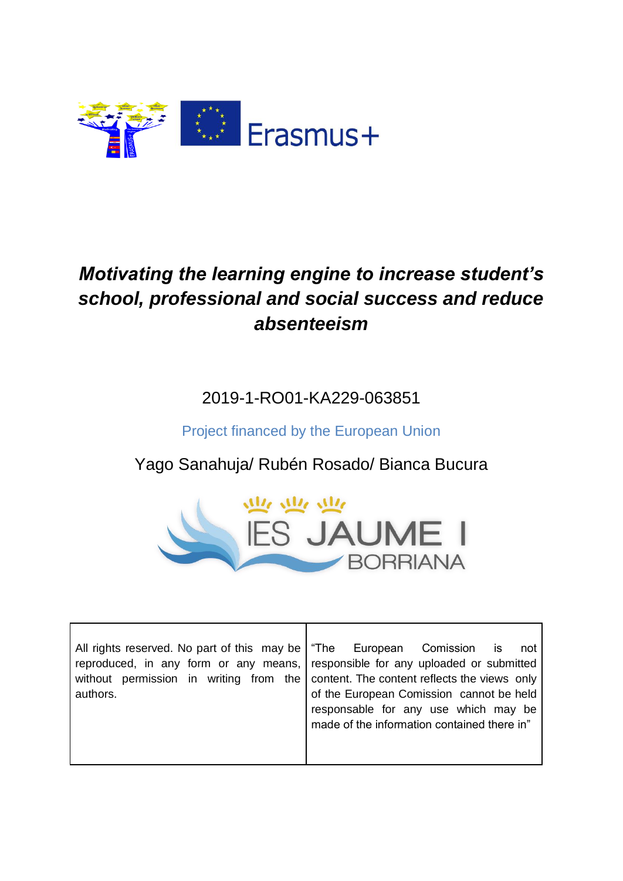

## *Motivating the learning engine to increase student's school, professional and social success and reduce absenteeism*

2019-1-RO01-KA229-063851

Project financed by the European Union

Yago Sanahuja/ Rubén Rosado/ Bianca Bucura



| All rights reserved. No part of this may be   "The European Comission is            | not                                         |
|-------------------------------------------------------------------------------------|---------------------------------------------|
| reproduced, in any form or any means, responsible for any uploaded or submitted     |                                             |
| without permission in writing from the content. The content reflects the views only |                                             |
| authors.                                                                            | of the European Comission cannot be held    |
|                                                                                     | responsable for any use which may be        |
|                                                                                     | made of the information contained there in" |
|                                                                                     |                                             |
|                                                                                     |                                             |

 $\mathbf l$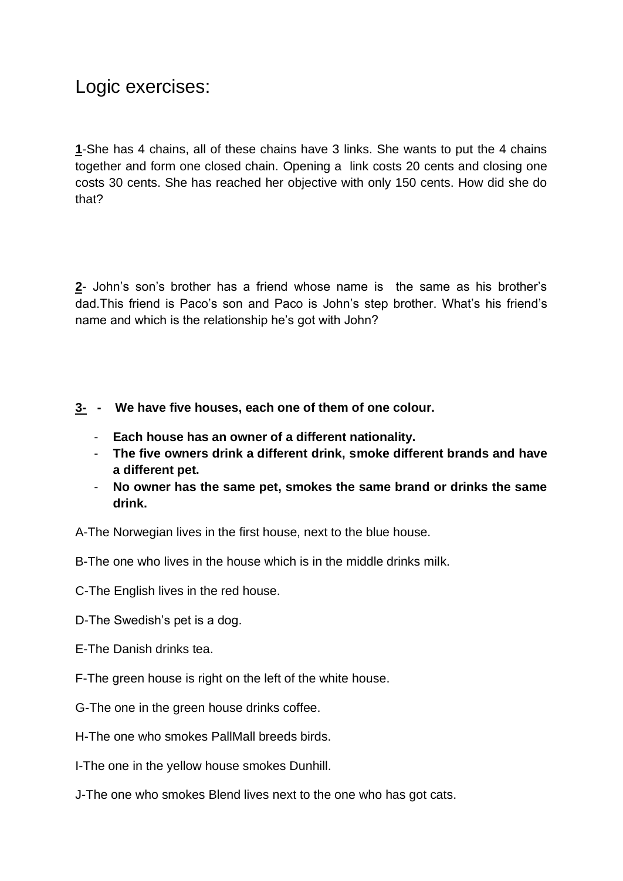## Logic exercises:

**1**-She has 4 chains, all of these chains have 3 links. She wants to put the 4 chains together and form one closed chain. Opening a link costs 20 cents and closing one costs 30 cents. She has reached her objective with only 150 cents. How did she do that?

**2**- John's son's brother has a friend whose name is the same as his brother's dad.This friend is Paco's son and Paco is John's step brother. What's his friend's name and which is the relationship he's got with John?

- **3- - We have five houses, each one of them of one colour.**
	- **Each house has an owner of a different nationality.**
	- **The five owners drink a different drink, smoke different brands and have a different pet.**
	- **No owner has the same pet, smokes the same brand or drinks the same drink.**

A-The Norwegian lives in the first house, next to the blue house.

B-The one who lives in the house which is in the middle drinks milk.

C-The English lives in the red house.

- D-The Swedish's pet is a dog.
- E-The Danish drinks tea.
- F-The green house is right on the left of the white house.
- G-The one in the green house drinks coffee.
- H-The one who smokes PallMall breeds birds.

I-The one in the yellow house smokes Dunhill.

J-The one who smokes Blend lives next to the one who has got cats.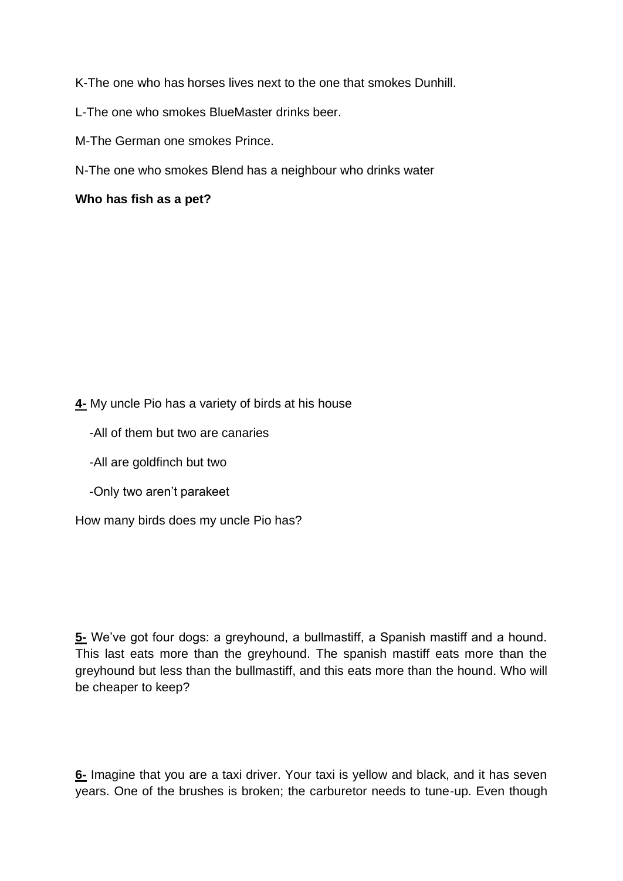K-The one who has horses lives next to the one that smokes Dunhill.

L-The one who smokes BlueMaster drinks beer.

M-The German one smokes Prince.

N-The one who smokes Blend has a neighbour who drinks water

**Who has fish as a pet?**

**4-** My uncle Pio has a variety of birds at his house

- -All of them but two are canaries
- -All are goldfinch but two
- -Only two aren't parakeet

How many birds does my uncle Pio has?

**5-** We've got four dogs: a greyhound, a bullmastiff, a Spanish mastiff and a hound. This last eats more than the greyhound. The spanish mastiff eats more than the greyhound but less than the bullmastiff, and this eats more than the hound. Who will be cheaper to keep?

**6-** Imagine that you are a taxi driver. Your taxi is yellow and black, and it has seven years. One of the brushes is broken; the carburetor needs to tune-up. Even though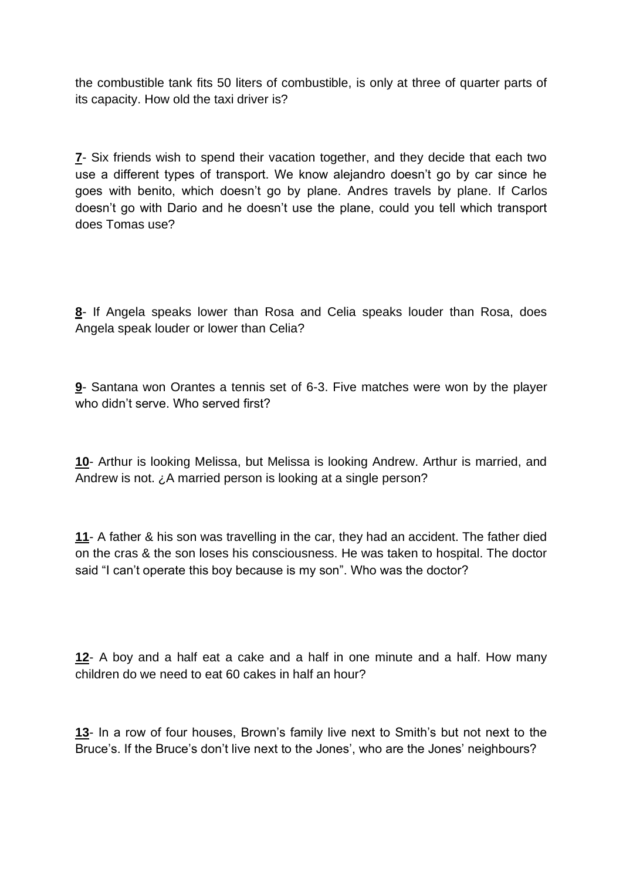the combustible tank fits 50 liters of combustible, is only at three of quarter parts of its capacity. How old the taxi driver is?

**7**- Six friends wish to spend their vacation together, and they decide that each two use a different types of transport. We know alejandro doesn't go by car since he goes with benito, which doesn't go by plane. Andres travels by plane. If Carlos doesn't go with Dario and he doesn't use the plane, could you tell which transport does Tomas use?

**8**- If Angela speaks lower than Rosa and Celia speaks louder than Rosa, does Angela speak louder or lower than Celia?

**9**- Santana won Orantes a tennis set of 6-3. Five matches were won by the player who didn't serve. Who served first?

**10**- Arthur is looking Melissa, but Melissa is looking Andrew. Arthur is married, and Andrew is not. ¿A married person is looking at a single person?

**11**- A father & his son was travelling in the car, they had an accident. The father died on the cras & the son loses his consciousness. He was taken to hospital. The doctor said "I can't operate this boy because is my son". Who was the doctor?

**12**- A boy and a half eat a cake and a half in one minute and a half. How many children do we need to eat 60 cakes in half an hour?

**13**- In a row of four houses, Brown's family live next to Smith's but not next to the Bruce's. If the Bruce's don't live next to the Jones', who are the Jones' neighbours?